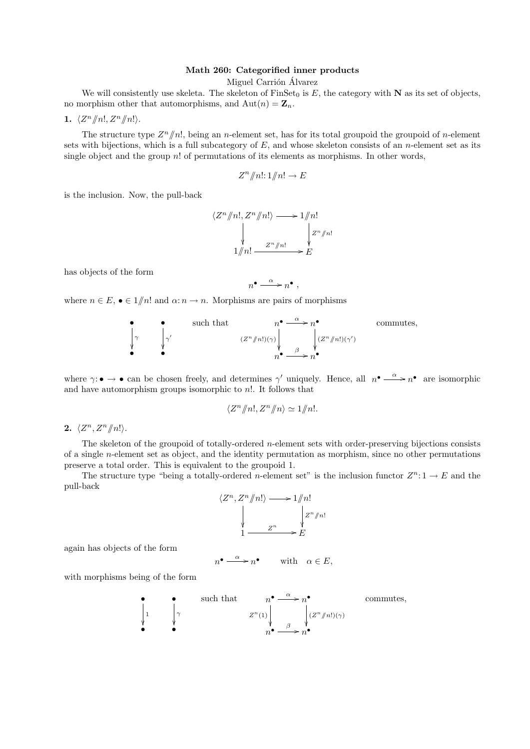## Math 260: Categorified inner products

Miguel Carrión Álvarez

We will consistently use skeleta. The skeleton of  $\text{FinSet}_0$  is E, the category with N as its set of objects, no morphism other that automorphisms, and  $\text{Aut}(n) = \mathbf{Z}_n$ .

1.  $\langle Z^n/\!\!/n!, Z^n/\!\!/n! \rangle$ .

The structure type  $Z^n/\hspace{-3pt}/n!$ , being an n-element set, has for its total groupoid the groupoid of n-element sets with bijections, which is a full subcategory of  $E$ , and whose skeleton consists of an *n*-element set as its single object and the group n! of permutations of its elements as morphisms. In other words,

$$
Z^n/\hspace{-0.14cm}/n!:\,1/\hspace{-0.14cm}/n!\to E
$$

is the inclusion. Now, the pull-back

$$
\langle Z^n \mathop /n!, Z^n \mathop /n! \rangle \longrightarrow 1 \mathop /n! \atop 1 \mathop /n! \longrightarrow E
$$

has objects of the form

$$
n^{\bullet} \xrightarrow{\alpha} n^{\bullet} ,
$$

where  $n \in E$ ,  $\bullet \in 1/n!$  and  $\alpha: n \to n$ . Morphisms are pairs of morphisms

• such that 
$$
n^{\bullet} \xrightarrow{\alpha} n^{\bullet}
$$
 commutes,  
\n
$$
\begin{array}{ccc}\n\downarrow & \downarrow & \downarrow \\
\downarrow & \downarrow & \downarrow \\
\downarrow & \downarrow & \downarrow\n\end{array}
$$
 commutes,

where  $\gamma: \bullet \to \bullet$  can be chosen freely, and determines  $\gamma'$  uniquely. Hence, all  $n^{\bullet} \xrightarrow{\alpha} n^{\bullet}$  are isomorphic and have automorphism groups isomorphic to  $n!$ . It follows that

$$
\langle Z^n/\!\!/n!, Z^n/\!\!/n \rangle \simeq 1/\!\!/n!.
$$

2.  $\langle Z^n, Z^n \rangle |n! \rangle$ .

The skeleton of the groupoid of totally-ordered n-element sets with order-preserving bijections consists of a single n-element set as object, and the identity permutation as morphism, since no other permutations preserve a total order. This is equivalent to the groupoid 1.

The structure type "being a totally-ordered *n*-element set" is the inclusion functor  $Z^n: 1 \to E$  and the pull-back

$$
\langle Z^n, Z^n \mathit{m} \rangle \longrightarrow 1 \mathit{m}!
$$
  
\n
$$
\downarrow \qquad \qquad \downarrow \qquad \qquad \downarrow \qquad \downarrow \qquad \downarrow \qquad \downarrow \qquad \downarrow \qquad \downarrow \qquad \downarrow \qquad \downarrow \qquad \downarrow \qquad \downarrow \qquad \downarrow \qquad \downarrow \qquad \downarrow \qquad \downarrow \qquad \downarrow \qquad \downarrow \qquad \downarrow \qquad \downarrow \qquad \downarrow \qquad \downarrow \qquad \downarrow \qquad \downarrow \qquad \downarrow \qquad \downarrow \qquad \downarrow \qquad \downarrow \qquad \downarrow \qquad \downarrow \qquad \downarrow \qquad \downarrow \qquad \downarrow \qquad \downarrow \qquad \downarrow \qquad \downarrow \qquad \downarrow \qquad \downarrow \qquad \downarrow \qquad \downarrow \qquad \downarrow \qquad \downarrow \qquad \downarrow \qquad \downarrow \qquad \downarrow \qquad \downarrow \qquad \downarrow \qquad \downarrow \qquad \downarrow \qquad \downarrow \qquad \downarrow \qquad \downarrow \qquad \downarrow \qquad \downarrow \qquad \downarrow \qquad \downarrow \qquad \downarrow \qquad \downarrow \qquad \downarrow \qquad \downarrow \qquad \downarrow \qquad \downarrow \qquad \downarrow \qquad \downarrow \qquad \downarrow \qquad \downarrow \qquad \downarrow \qquad \downarrow \qquad \downarrow \qquad \downarrow \qquad \downarrow \qquad \downarrow \qquad \downarrow \qquad \downarrow \qquad \downarrow \qquad \downarrow \qquad \downarrow \qquad \downarrow \qquad \downarrow \qquad \downarrow \qquad \downarrow \qquad \downarrow \qquad \downarrow \qquad \downarrow \qquad \downarrow \qquad \downarrow \qquad \downarrow \qquad \downarrow \qquad \downarrow \qquad \downarrow \qquad \downarrow \qquad \downarrow \qquad \downarrow \qquad \downarrow \qquad \downarrow \qquad \downarrow \qquad \downarrow \qquad \downarrow \qquad \downarrow \qquad \downarrow \qquad \downarrow \qquad \downarrow \qquad \downarrow \qquad \downarrow \qquad \downarrow \qquad \downarrow \qquad \downarrow \qquad \downarrow \qquad \downarrow \qquad \downarrow \qquad \downarrow \qquad \downarrow \qquad \downarrow \qquad \downarrow \qquad \downarrow \qquad \downarrow \qquad \downarrow \qquad \downarrow \qquad \downarrow \qquad \downarrow \
$$

again has objects of the form

$$
n^{\bullet} \xrightarrow{\alpha} n^{\bullet} \qquad \text{with} \quad \alpha \in E,
$$

with morphisms being of the form

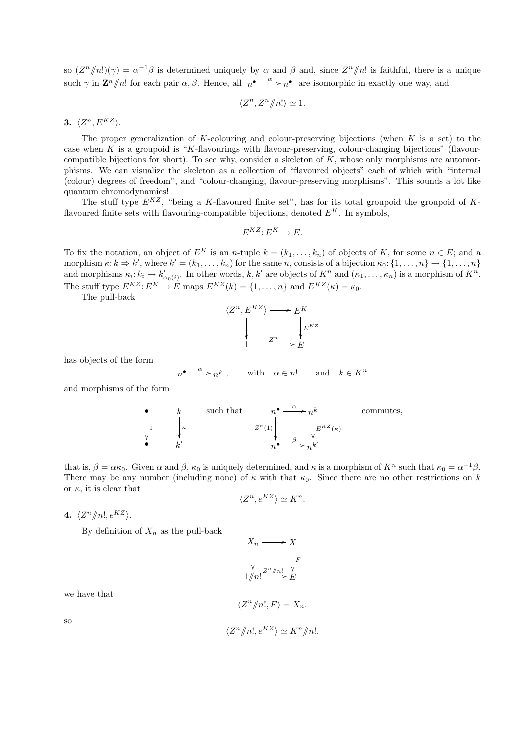so  $(Z^n/n!)(\gamma) = \alpha^{-1}\beta$  is determined uniquely by  $\alpha$  and  $\beta$  and, since  $Z^n/n!$  is faithful, there is a unique such  $\gamma$  in  $\mathbf{Z}^n/\hspace{-3pt}/n!$  for each pair  $\alpha, \beta$ . Hence, all  $n^{\bullet} \stackrel{\alpha}{\longrightarrow} n^{\bullet}$  are isomorphic in exactly one way, and

$$
\langle Z^n, Z^n \mathbf{/} n! \rangle \simeq 1.
$$

3.  $\langle Z^n, E^{KZ} \rangle$ .

The proper generalization of K-colouring and colour-preserving bijections (when  $K$  is a set) to the case when K is a groupoid is "K-flavourings with flavour-preserving, colour-changing bijections" (flavourcompatible bijections for short). To see why, consider a skeleton of  $K$ , whose only morphisms are automorphisms. We can visualize the skeleton as a collection of "flavoured objects" each of which with "internal (colour) degrees of freedom", and "colour-changing, flavour-preserving morphisms". This sounds a lot like quantum chromodynamics!

The stuff type  $E^{KZ}$ , "being a K-flavoured finite set", has for its total groupoid the groupoid of Kflavoured finite sets with flavouring-compatible bijections, denoted  $E^K$ . In symbols,

$$
E^{KZ}: E^K \to E.
$$

To fix the notation, an object of  $E^K$  is an n-tuple  $k = (k_1, \ldots, k_n)$  of objects of K, for some  $n \in E$ ; and a morphism  $\kappa: k \Rightarrow k'$ , where  $k' = (k_1, \ldots, k_n)$  for the same n, consists of a bijection  $\kappa_0: \{1, \ldots, n\} \to \{1, \ldots, n\}$ and morphisms  $\kappa_i: k_i \to k'_{\alpha_0(i)}$ . In other words, k, k' are objects of  $K^n$  and  $(\kappa_1, \ldots, \kappa_n)$  is a morphism of  $K^n$ . The stuff type  $E^{KZ}: E^K \to E$  maps  $E^{KZ}(k) = \{1, \ldots, n\}$  and  $E^{KZ}(k) = \kappa_0$ .

The pull-back

$$
\langle Z^n, E^{KZ} \rangle \longrightarrow E^K
$$
  
\n
$$
\downarrow \qquad E^{KZ}
$$
  
\n
$$
1 \longrightarrow E
$$

has objects of the form

$$
n^{\bullet} \xrightarrow{\alpha} n^k
$$
, with  $\alpha \in n!$  and  $k \in K^n$ .

and morphisms of the form

\n- such that 
$$
n^{\bullet} \xrightarrow{\alpha} n^k
$$
 commutes,  $z^n(1) \downarrow \qquad \qquad z^n(1) \downarrow \qquad \qquad \downarrow E^{KZ}(\kappa)$
\n- $k'$   $n^{\bullet} \xrightarrow{\beta} n^{k'}$
\n

that is,  $\beta = \alpha \kappa_0$ . Given  $\alpha$  and  $\beta$ ,  $\kappa_0$  is uniquely determined, and  $\kappa$  is a morphism of  $K^n$  such that  $\kappa_0 = \alpha^{-1}\beta$ . There may be any number (including none) of  $\kappa$  with that  $\kappa_0$ . Since there are no other restrictions on k or  $\kappa$ , it is clear that

$$
\langle Z^n, e^{KZ} \rangle \simeq K^n.
$$

4.  $\langle Z^n/\!\!/n!, e^{KZ} \rangle$ .

By definition of  $X_n$  as the pull-back

$$
X_n \longrightarrow X
$$
  
\n
$$
\downarrow \qquad \qquad F
$$
  
\n
$$
1/n! \xrightarrow{Z^n/n!} E
$$

we have that

$$
\langle Z^n/\!\!/n!, F \rangle = X_n.
$$

so

$$
\langle Z^n / n!, e^{KZ} \rangle \simeq K^n / n!.
$$